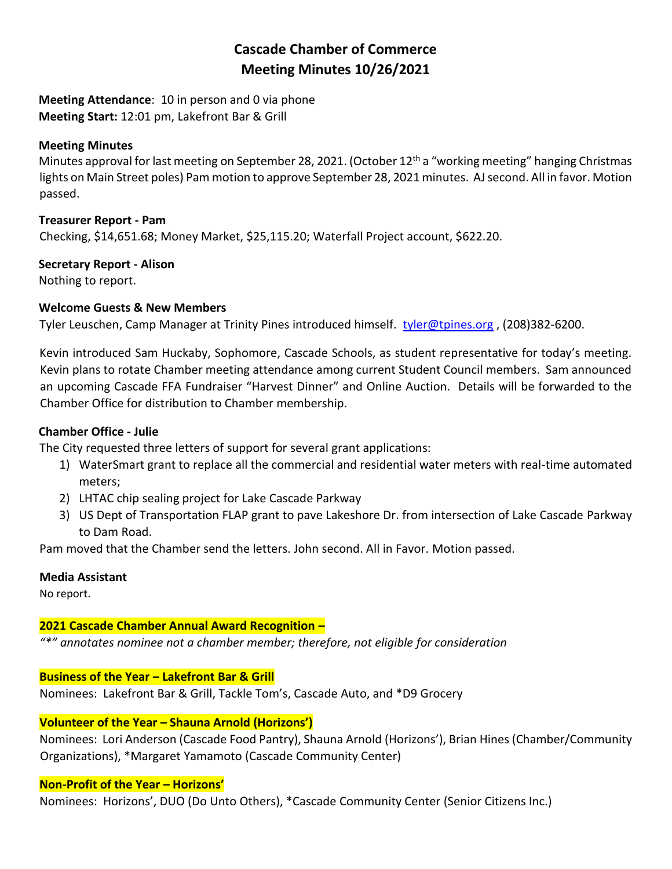# **Cascade Chamber of Commerce Meeting Minutes 10/26/2021**

**Meeting Attendance**: 10 in person and 0 via phone **Meeting Start:** 12:01 pm, Lakefront Bar & Grill

## **Meeting Minutes**

Minutes approval for last meeting on September 28, 2021. (October  $12<sup>th</sup>$  a "working meeting" hanging Christmas lights on Main Street poles) Pam motion to approve September 28, 2021 minutes. AJsecond. All in favor. Motion passed.

## **Treasurer Report - Pam**

Checking, \$14,651.68; Money Market, \$25,115.20; Waterfall Project account, \$622.20.

## **Secretary Report - Alison**

Nothing to report.

## **Welcome Guests & New Members**

Tyler Leuschen, Camp Manager at Trinity Pines introduced himself. [tyler@tpines.org](mailto:tyler@tpines.org), (208)382-6200.

Kevin introduced Sam Huckaby, Sophomore, Cascade Schools, as student representative for today's meeting. Kevin plans to rotate Chamber meeting attendance among current Student Council members. Sam announced an upcoming Cascade FFA Fundraiser "Harvest Dinner" and Online Auction. Details will be forwarded to the Chamber Office for distribution to Chamber membership.

# **Chamber Office - Julie**

The City requested three letters of support for several grant applications:

- 1) WaterSmart grant to replace all the commercial and residential water meters with real-time automated meters;
- 2) LHTAC chip sealing project for Lake Cascade Parkway
- 3) US Dept of Transportation FLAP grant to pave Lakeshore Dr. from intersection of Lake Cascade Parkway to Dam Road.

Pam moved that the Chamber send the letters. John second. All in Favor. Motion passed.

## **Media Assistant**

No report.

# **2021 Cascade Chamber Annual Award Recognition –**

*"\*" annotates nominee not a chamber member; therefore, not eligible for consideration*

# **Business of the Year – Lakefront Bar & Grill**

Nominees: Lakefront Bar & Grill, Tackle Tom's, Cascade Auto, and \*D9 Grocery

# **Volunteer of the Year – Shauna Arnold (Horizons')**

Nominees: Lori Anderson (Cascade Food Pantry), Shauna Arnold (Horizons'), Brian Hines (Chamber/Community Organizations), \*Margaret Yamamoto (Cascade Community Center)

## **Non-Profit of the Year – Horizons'**

Nominees: Horizons', DUO (Do Unto Others), \*Cascade Community Center (Senior Citizens Inc.)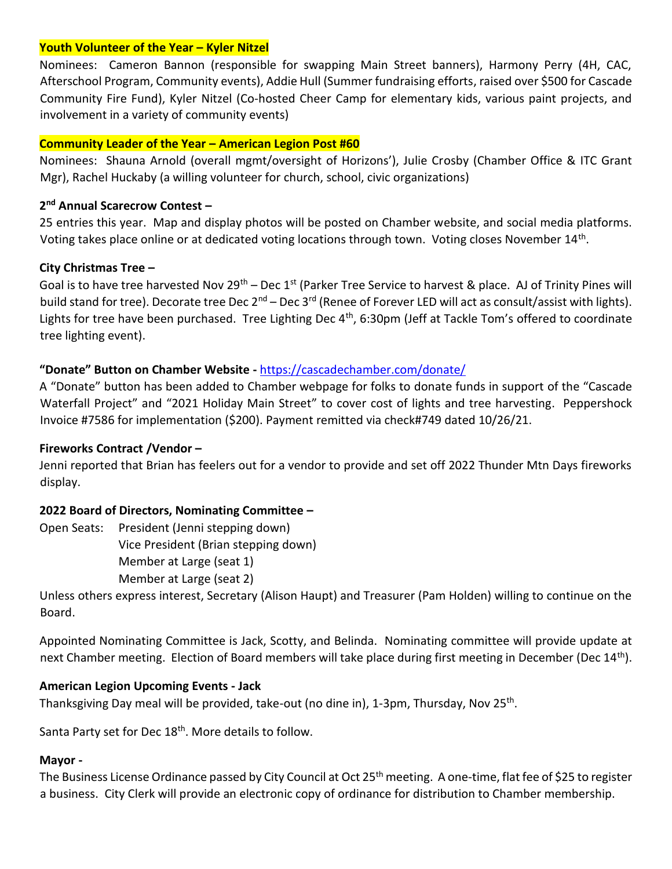#### **Youth Volunteer of the Year – Kyler Nitzel**

Nominees: Cameron Bannon (responsible for swapping Main Street banners), Harmony Perry (4H, CAC, Afterschool Program, Community events), Addie Hull (Summer fundraising efforts, raised over \$500 for Cascade Community Fire Fund), Kyler Nitzel (Co-hosted Cheer Camp for elementary kids, various paint projects, and involvement in a variety of community events)

#### **Community Leader of the Year – American Legion Post #60**

Nominees: Shauna Arnold (overall mgmt/oversight of Horizons'), Julie Crosby (Chamber Office & ITC Grant Mgr), Rachel Huckaby (a willing volunteer for church, school, civic organizations)

## **2 nd Annual Scarecrow Contest –**

25 entries this year. Map and display photos will be posted on Chamber website, and social media platforms. Voting takes place online or at dedicated voting locations through town. Voting closes November 14<sup>th</sup>.

#### **City Christmas Tree –**

Goal is to have tree harvested Nov 29<sup>th</sup> – Dec 1<sup>st</sup> (Parker Tree Service to harvest & place. AJ of Trinity Pines will build stand for tree). Decorate tree Dec 2<sup>nd</sup> – Dec 3<sup>rd</sup> (Renee of Forever LED will act as consult/assist with lights). Lights for tree have been purchased. Tree Lighting Dec 4<sup>th</sup>, 6:30pm (Jeff at Tackle Tom's offered to coordinate tree lighting event).

## **"Donate" Button on Chamber Website -** <https://cascadechamber.com/donate/>

A "Donate" button has been added to Chamber webpage for folks to donate funds in support of the "Cascade Waterfall Project" and "2021 Holiday Main Street" to cover cost of lights and tree harvesting. Peppershock Invoice #7586 for implementation (\$200). Payment remitted via check#749 dated 10/26/21.

## **Fireworks Contract /Vendor –**

Jenni reported that Brian has feelers out for a vendor to provide and set off 2022 Thunder Mtn Days fireworks display.

## **2022 Board of Directors, Nominating Committee –**

Open Seats: President (Jenni stepping down) Vice President (Brian stepping down) Member at Large (seat 1) Member at Large (seat 2)

Unless others express interest, Secretary (Alison Haupt) and Treasurer (Pam Holden) willing to continue on the Board.

Appointed Nominating Committee is Jack, Scotty, and Belinda. Nominating committee will provide update at next Chamber meeting. Election of Board members will take place during first meeting in December (Dec 14<sup>th</sup>).

#### **American Legion Upcoming Events - Jack**

Thanksgiving Day meal will be provided, take-out (no dine in), 1-3pm, Thursday, Nov 25<sup>th</sup>.

Santa Party set for Dec 18<sup>th</sup>. More details to follow.

## **Mayor -**

The Business License Ordinance passed by City Council at Oct 25<sup>th</sup> meeting. A one-time, flat fee of \$25 to register a business. City Clerk will provide an electronic copy of ordinance for distribution to Chamber membership.